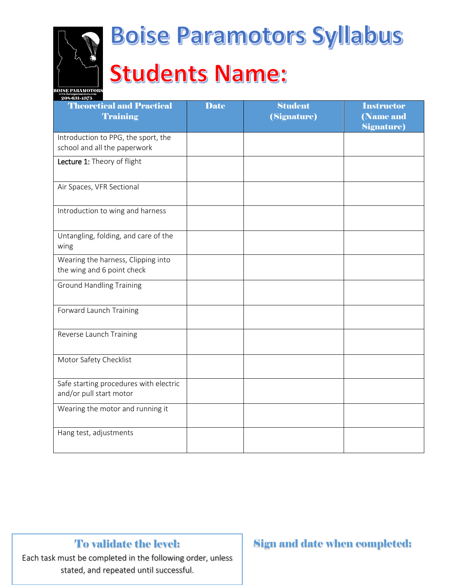

# **Boise Paramotors Syllabus Students Name:**

| 208-631-4375                                                        |             |                               |                                                      |
|---------------------------------------------------------------------|-------------|-------------------------------|------------------------------------------------------|
| <b>Theoretical and Practical</b><br><b>Training</b>                 | <b>Date</b> | <b>Student</b><br>(Signature) | <b>Instructor</b><br>(Name and<br><b>Signature</b> ) |
| Introduction to PPG, the sport, the<br>school and all the paperwork |             |                               |                                                      |
| Lecture 1: Theory of flight                                         |             |                               |                                                      |
| Air Spaces, VFR Sectional                                           |             |                               |                                                      |
| Introduction to wing and harness                                    |             |                               |                                                      |
| Untangling, folding, and care of the<br>wing                        |             |                               |                                                      |
| Wearing the harness, Clipping into<br>the wing and 6 point check    |             |                               |                                                      |
| <b>Ground Handling Training</b>                                     |             |                               |                                                      |
| Forward Launch Training                                             |             |                               |                                                      |
| Reverse Launch Training                                             |             |                               |                                                      |
| Motor Safety Checklist                                              |             |                               |                                                      |
| Safe starting procedures with electric<br>and/or pull start motor   |             |                               |                                                      |
| Wearing the motor and running it                                    |             |                               |                                                      |
| Hang test, adjustments                                              |             |                               |                                                      |

### To validate the level:

Each task must be completed in the following order, unless stated, and repeated until successful.

### Sign and date when completed: